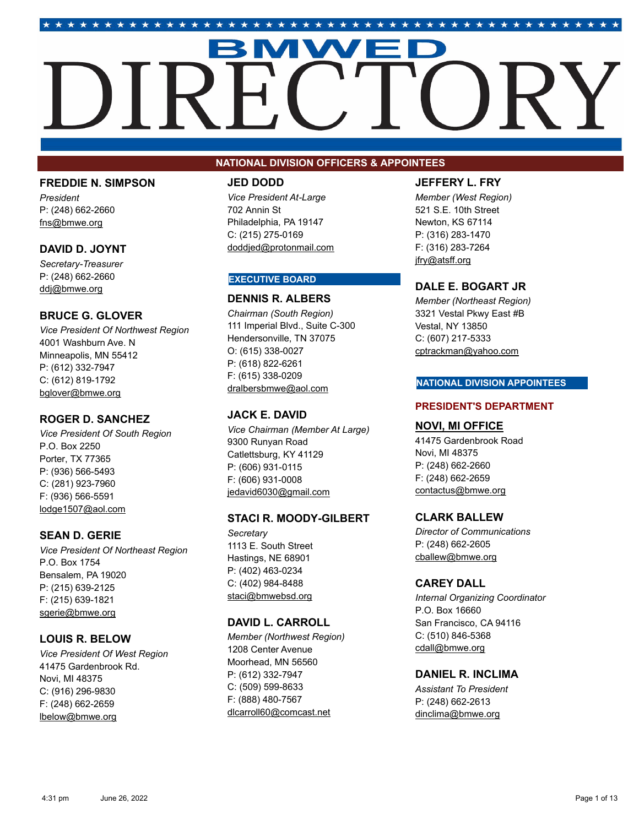# 

## **FREDDIE N. SIMPSON**

*President* P: (248) 662-2660 fns@bmwe.org

## **DAVID D. JOYNT**

*Secretary-Treasurer* P: (248) 662-2660 ddj@bmwe.org

## **BRUCE G. GLOVER**

*Vice President Of Northwest Region* 4001 Washburn Ave. N Minneapolis, MN 55412 P: (612) 332-7947 C: (612) 819-1792 bglover@bmwe.org

## **ROGER D. SANCHEZ**

*Vice President Of South Region* P.O. Box 2250 Porter, TX 77365 P: (936) 566-5493 C: (281) 923-7960 F: (936) 566-5591 lodge1507@aol.com

## **SEAN D. GERIE**

*Vice President Of Northeast Region* P.O. Box 1754 Bensalem, PA 19020 P: (215) 639-2125 F: (215) 639-1821 sgerie@bmwe.org

## **LOUIS R. BELOW**

*Vice President Of West Region* 41475 Gardenbrook Rd. Novi, MI 48375 C: (916) 296-9830 F: (248) 662-2659 lbelow@bmwe.org

## **NATIONAL DIVISION OFFICERS & APPOINTEES**

## **JED DODD**

*Vice President At-Large* 702 Annin St Philadelphia, PA 19147 C: (215) 275-0169 doddjed@protonmail.com

## **EXECUTIVE BOARD**

## **DENNIS R. ALBERS**

*Chairman (South Region)* 111 Imperial Blvd., Suite C-300 Hendersonville, TN 37075 O: (615) 338-0027 P: (618) 822-6261 F: (615) 338-0209 dralbersbmwe@aol.com

## **JACK E. DAVID**

*Vice Chairman (Member At Large)* 9300 Runyan Road Catlettsburg, KY 41129 P: (606) 931-0115 F: (606) 931-0008 jedavid6030@gmail.com

## **STACI R. MOODY-GILBERT**

*Secretary* 1113 E. South Street Hastings, NE 68901 P: (402) 463-0234 C: (402) 984-8488 staci@bmwebsd.org

## **DAVID L. CARROLL**

*Member (Northwest Region)* 1208 Center Avenue Moorhead, MN 56560 P: (612) 332-7947 C: (509) 599-8633 F: (888) 480-7567 dlcarroll60@comcast.net

## **JEFFERY L. FRY**

*Member (West Region)* 521 S.E. 10th Street Newton, KS 67114 P: (316) 283-1470 F: (316) 283-7264 jfry@atsff.org

## **DALE E. BOGART JR**

*Member (Northeast Region)* 3321 Vestal Pkwy East #B Vestal, NY 13850 C: (607) 217-5333 cptrackman@yahoo.com

#### **NATIONAL DIVISION APPOINTEES**

## **PRESIDENT'S DEPARTMENT**

## **NOVI, MI OFFICE**

41475 Gardenbrook Road Novi, MI 48375 P: (248) 662-2660 F: (248) 662-2659 contactus@bmwe.org

## **CLARK BALLEW**

*Director of Communications* P: (248) 662-2605 cballew@bmwe.org

## **CAREY DALL**

*Internal Organizing Coordinator* P.O. Box 16660 San Francisco, CA 94116 C: (510) 846-5368 cdall@bmwe.org

## **DANIEL R. INCLIMA**

*Assistant To President* P: (248) 662-2613 dinclima@bmwe.org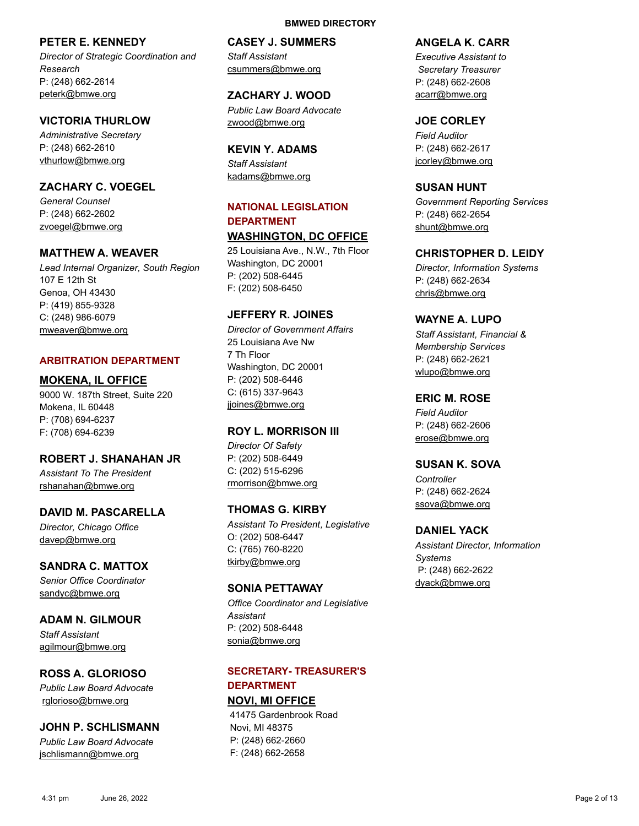## **PETER E. KENNEDY**

*Director of Strategic Coordination and Research* P: (248) 662-2614 peterk@bmwe.org

## **VICTORIA THURLOW**

*Administrative Secretary* P: (248) 662-2610 vthurlow@bmwe.org

## **ZACHARY C. VOEGEL**

*General Counsel* P: (248) 662-2602 zvoegel@bmwe.org

## **MATTHEW A. WEAVER**

*Lead Internal Organizer, South Region* 107 E 12th St Genoa, OH 43430 P: (419) 855-9328 C: (248) 986-6079 mweaver@bmwe.org

## **ARBITRATION DEPARTMENT**

## **MOKENA, IL OFFICE**

9000 W. 187th Street, Suite 220 Mokena, IL 60448 P: (708) 694-6237 F: (708) 694-6239

## **ROBERT J. SHANAHAN JR**

*Assistant To The President* rshanahan@bmwe.org

#### **DAVID M. PASCARELLA**

*Director, Chicago Office* davep@bmwe.org

## **SANDRA C. MATTOX**

*Senior Office Coordinator* sandyc@bmwe.org

## **ADAM N. GILMOUR**

*Staff Assistant* agilmour@bmwe.org

## **ROSS A. GLORIOSO**

*Public Law Board Advocate* rglorioso@bmwe.org

## **JOHN P. SCHLISMANN**

*Public Law Board Advocate* jschlismann@bmwe.org

# **CASEY J. SUMMERS**

**BMWED DIRECTORY**

*Staff Assistant* csummers@bmwe.org

## **ZACHARY J. WOOD**

*Public Law Board Advocate* zwood@bmwe.org

## **KEVIN Y. ADAMS**

*Staff Assistant* kadams@bmwe.org

## **NATIONAL LEGISLATION DEPARTMENT**

## **WASHINGTON, DC OFFICE**

25 Louisiana Ave., N.W., 7th Floor Washington, DC 20001 P: (202) 508-6445 F: (202) 508-6450

## **JEFFERY R. JOINES**

*Director of Government Affairs* 25 Louisiana Ave Nw 7 Th Floor Washington, DC 20001 P: (202) 508-6446 C: (615) 337-9643 jjoines@bmwe.org

#### **ROY L. MORRISON III**

*Director Of Safety* P: (202) 508-6449 C: (202) 515-6296 rmorrison@bmwe.org

## **THOMAS G. KIRBY**

*Assistant To President, Legislative* O: (202) 508-6447 C: (765) 760-8220 tkirby@bmwe.org

## **SONIA PETTAWAY**

*Office Coordinator and Legislative Assistant* P: (202) 508-6448 sonia@bmwe.org

## **SECRETARY- TREASURER'S DEPARTMENT**

**NOVI, MI OFFICE** 41475 Gardenbrook Road Novi, MI 48375 P: (248) 662-2660 F: (248) 662-2658

## **ANGELA K. CARR**

*Executive Assistant to Secretary Treasurer* P: (248) 662-2608 acarr@bmwe.org

## **JOE CORLEY**

*Field Auditor* P: (248) 662-2617 jcorley@bmwe.org

## **SUSAN HUNT**

*Government Reporting Services* P: (248) 662-2654 shunt@bmwe.org

## **CHRISTOPHER D. LEIDY**

*Director, Information Systems* P: (248) 662-2634 chris@bmwe.org

## **WAYNE A. LUPO**

*Staff Assistant, Financial & Membership Services* P: (248) 662-2621 wlupo@bmwe.org

## **ERIC M. ROSE**

*Field Auditor* P: (248) 662-2606 erose@bmwe.org

## **SUSAN K. SOVA**

*Controller* P: (248) 662-2624 ssova@bmwe.org

## **DANIEL YACK**

*Assistant Director, Information Systems* P: (248) 662-2622 dyack@bmwe.org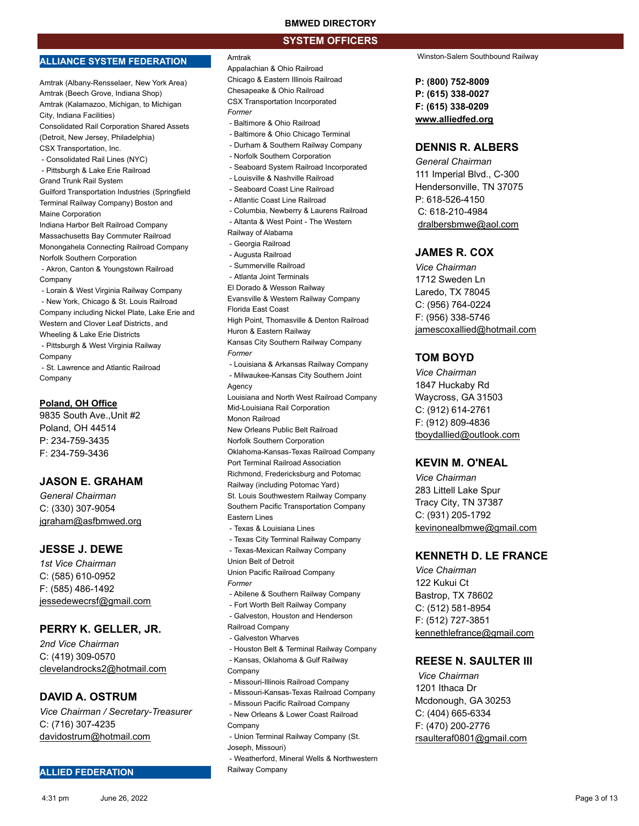#### **SYSTEM OFFICERS**

#### **ALLIANCE SYSTEM FEDERATION**

Amtrak (Albany-Rensselaer, New York Area) Amtrak (Beech Grove, Indiana Shop) Amtrak (Kalamazoo, Michigan, to Michigan City, Indiana Facilities) Consolidated Rail Corporation Shared Assets (Detroit, New Jersey, Philadelphia) CSX Transportation, Inc.

- Consolidated Rail Lines (NYC)
- Pittsburgh & Lake Erie Railroad
- Grand Trunk Rail System

Guilford Transportation Industries (Springfield Terminal Railway Company) Boston and Maine Corporation

Indiana Harbor Belt Railroad Company Massachusetts Bay Commuter Railroad Monongahela Connecting Railroad Company Norfolk Southern Corporation

 - Akron, Canton & Youngstown Railroad Company

 - Lorain & West Virginia Railway Company - New York, Chicago & St. Louis Railroad Company including Nickel Plate, Lake Erie and Western and Clover Leaf Districts, and Wheeling & Lake Erie Districts

 - Pittsburgh & West Virginia Railway Company - St. Lawrence and Atlantic Railroad

Company

#### **Poland, OH Office**

9835 South Ave.,Unit #2 Poland, OH 44514 P: 234-759-3435 F: 234-759-3436

## **JASON E. GRAHAM**

*General Chairman* C: (330) 307-9054 jgraham@asfbmwed.org

#### **JESSE J. DEWE**

*1st Vice Chairman* C: (585) 610-0952 F: (585) 486-1492 jessedewecrsf@gmail.com

#### **PERRY K. GELLER, JR.**

*2nd Vice Chairman* C: (419) 309-0570 clevelandrocks2@hotmail.com

#### **DAVID A. OSTRUM**

*Vice Chairman / Secretary-Treasurer* C: (716) 307-4235 davidostrum@hotmail.com

#### **ALLIED FEDERATION**

#### Amtrak

Appalachian & Ohio Railroad Chicago & Eastern Illinois Railroad Chesapeake & Ohio Railroad CSX Transportation Incorporated *Former* - Baltimore & Ohio Railroad - Baltimore & Ohio Chicago Terminal - Durham & Southern Railway Company

- 
- Norfolk Southern Corporation
- Seaboard System Railroad Incorporated
- Louisville & Nashville Railroad - Seaboard Coast Line Railroad
- Atlantic Coast Line Railroad
- 
- Columbia, Newberry & Laurens Railroad
- Altanta & West Point The Western
- Railway of Alabama
- Georgia Railroad
- Augusta Railroad - Summerville Railroad
- Atlanta Joint Terminals
- El Dorado & Wesson Railway
- Evansville & Western Railway Company
- Florida East Coast
- High Point, Thomasville & Denton Railroad
- Huron & Eastern Railway
- Kansas City Southern Railway Company *Former* - Louisiana & Arkansas Railway Company
- Milwaukee-Kansas City Southern Joint
- Agency
- Louisiana and North West Railroad Company
- Mid-Louisiana Rail Corporation
- Monon Railroad
- New Orleans Public Belt Railroad
- Norfolk Southern Corporation
- Oklahoma-Kansas-Texas Railroad Company
- Port Terminal Railroad Association
- Richmond, Fredericksburg and Potomac
- Railway (including Potomac Yard)

St. Louis Southwestern Railway Company Southern Pacific Transportation Company Eastern Lines

- Texas & Louisiana Lines
- Texas City Terminal Railway Company - Texas-Mexican Railway Company
- Union Belt of Detroit

Union Pacific Railroad Company *Former*

- Abilene & Southern Railway Company
- Fort Worth Belt Railway Company
- Galveston, Houston and Henderson
- Railroad Company
- Galveston Wharves
- Houston Belt & Terminal Railway Company
- Kansas, Oklahoma & Gulf Railway **Company**
- Missouri-Illinois Railroad Company
- Missouri-Kansas-Texas Railroad Company
- Missouri Pacific Railroad Company
- New Orleans & Lower Coast Railroad Company
- Union Terminal Railway Company (St. Joseph, Missouri)
- Weatherford, Mineral Wells & Northwestern Railway Company

Winston-Salem Southbound Railway

**P: (800) 752-8009 P: (615) 338-0027 F: (615) 338-0209 www.alliedfed.org**

#### **DENNIS R. ALBERS**

*General Chairman* 111 Imperial Blvd., C-300 Hendersonville, TN 37075 P: 618-526-4150 C: 618-210-4984 dralbersbmwe@aol.com

## **JAMES R. COX**

*Vice Chairman* 1712 Sweden Ln Laredo, TX 78045 C: (956) 764-0224 F: (956) 338-5746 jamescoxallied@hotmail.com

#### **TOM BOYD**

*Vice Chairman* 1847 Huckaby Rd Waycross, GA 31503 C: (912) 614-2761 F: (912) 809-4836 tboydallied@outlook.com

#### **KEVIN M. O'NEAL**

*Vice Chairman* 283 Littell Lake Spur Tracy City, TN 37387 C: (931) 205-1792 kevinonealbmwe@gmail.com

#### **KENNETH D. LE FRANCE**

*Vice Chairman* 122 Kukui Ct Bastrop, TX 78602 C: (512) 581-8954 F: (512) 727-3851 kennethlefrance@gmail.com

#### **REESE N. SAULTER III**

*Vice Chairman* 1201 Ithaca Dr Mcdonough, GA 30253 C: (404) 665-6334 F: (470) 200-2776 rsaulteraf0801@gmail.com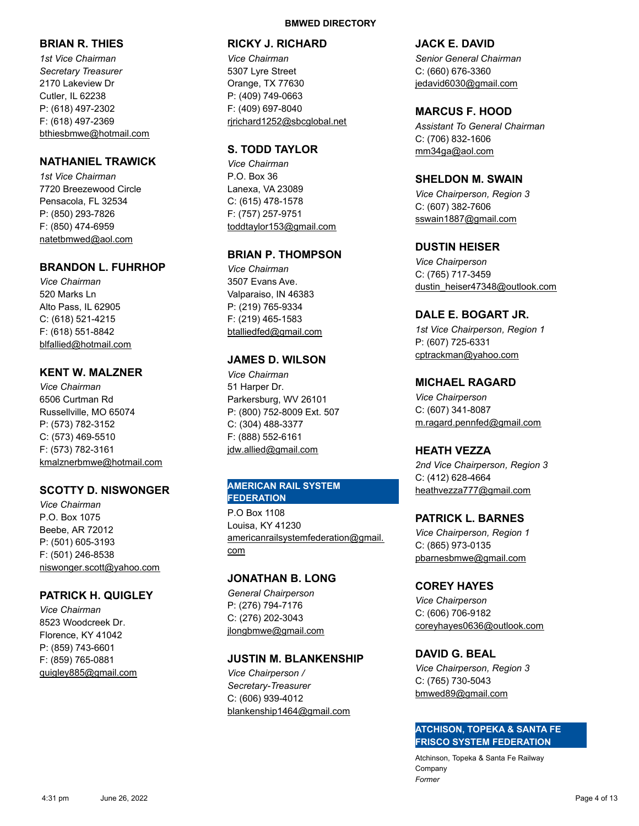## **BRIAN R. THIES**

*1st Vice Chairman Secretary Treasurer* 2170 Lakeview Dr Cutler, IL 62238 P: (618) 497-2302 F: (618) 497-2369 bthiesbmwe@hotmail.com

## **NATHANIEL TRAWICK**

*1st Vice Chairman* 7720 Breezewood Circle Pensacola, FL 32534 P: (850) 293-7826 F: (850) 474-6959 natetbmwed@aol.com

#### **BRANDON L. FUHRHOP**

*Vice Chairman* 520 Marks Ln Alto Pass, IL 62905 C: (618) 521-4215 F: (618) 551-8842 blfallied@hotmail.com

## **KENT W. MALZNER**

*Vice Chairman* 6506 Curtman Rd Russellville, MO 65074 P: (573) 782-3152 C: (573) 469-5510 F: (573) 782-3161 kmalznerbmwe@hotmail.com

## **SCOTTY D. NISWONGER**

*Vice Chairman* P.O. Box 1075 Beebe, AR 72012 P: (501) 605-3193 F: (501) 246-8538 niswonger.scott@yahoo.com

#### **PATRICK H. QUIGLEY**

*Vice Chairman* 8523 Woodcreek Dr. Florence, KY 41042 P: (859) 743-6601 F: (859) 765-0881 quigley885@gmail.com

#### **BMWED DIRECTORY**

#### **RICKY J. RICHARD**

*Vice Chairman* 5307 Lyre Street Orange, TX 77630 P: (409) 749-0663 F: (409) 697-8040 rjrichard1252@sbcglobal.net

#### **S. TODD TAYLOR**

*Vice Chairman* P.O. Box 36 Lanexa, VA 23089 C: (615) 478-1578 F: (757) 257-9751 toddtaylor153@gmail.com

## **BRIAN P. THOMPSON**

*Vice Chairman* 3507 Evans Ave. Valparaiso, IN 46383 P: (219) 765-9334 F: (219) 465-1583 btalliedfed@gmail.com

#### **JAMES D. WILSON**

*Vice Chairman* 51 Harper Dr. Parkersburg, WV 26101 P: (800) 752-8009 Ext. 507 C: (304) 488-3377 F: (888) 552-6161 jdw.allied@gmail.com

#### **AMERICAN RAIL SYSTEM FEDERATION**

P.O Box 1108 Louisa, KY 41230 americanrailsystemfederation@gmail. com

#### **JONATHAN B. LONG**

*General Chairperson* P: (276) 794-7176 C: (276) 202-3043 jlongbmwe@gmail.com

#### **JUSTIN M. BLANKENSHIP**

*Vice Chairperson / Secretary-Treasurer* C: (606) 939-4012 blankenship1464@gmail.com

#### **JACK E. DAVID**

*Senior General Chairman* C: (660) 676-3360 jedavid6030@gmail.com

#### **MARCUS F. HOOD**

*Assistant To General Chairman* C: (706) 832-1606 mm34ga@aol.com

#### **SHELDON M. SWAIN**

*Vice Chairperson, Region 3* C: (607) 382-7606 sswain1887@gmail.com

#### **DUSTIN HEISER**

*Vice Chairperson* C: (765) 717-3459 dustin\_heiser47348@outlook.com

## **DALE E. BOGART JR.**

*1st Vice Chairperson, Region 1* P: (607) 725-6331 cptrackman@yahoo.com

#### **MICHAEL RAGARD**

*Vice Chairperson* C: (607) 341-8087 m.ragard.pennfed@gmail.com

#### **HEATH VEZZA**

*2nd Vice Chairperson, Region 3* C: (412) 628-4664 heathvezza777@gmail.com

#### **PATRICK L. BARNES**

*Vice Chairperson, Region 1* C: (865) 973-0135 pbarnesbmwe@gmail.com

## **COREY HAYES**

*Vice Chairperson* C: (606) 706-9182 coreyhayes0636@outlook.com

## **DAVID G. BEAL**

*Vice Chairperson, Region 3* C: (765) 730-5043 bmwed89@gmail.com

#### **ATCHISON, TOPEKA & SANTA FE FRISCO SYSTEM FEDERATION**

Atchinson, Topeka & Santa Fe Railway Company *Former*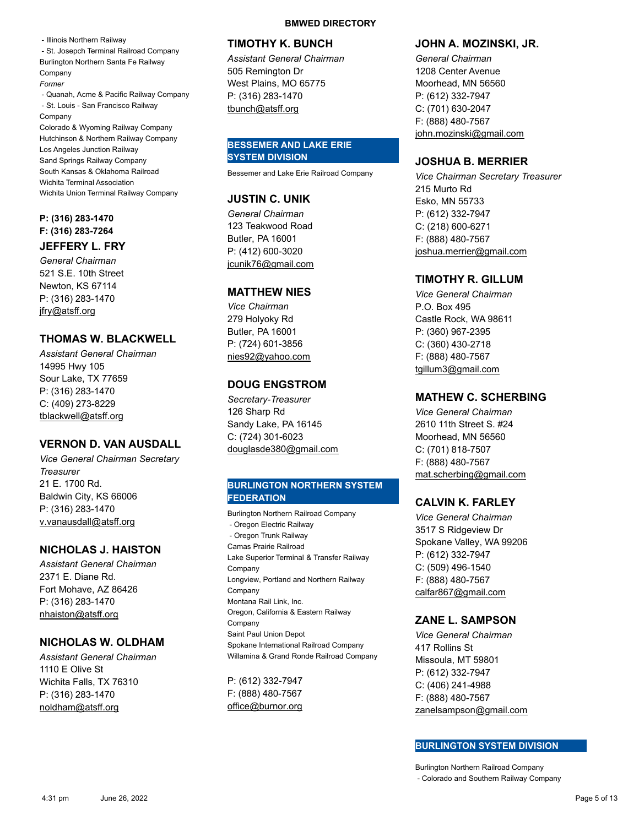- Illinois Northern Railway - St. Josepch Terminal Railroad Company Burlington Northern Santa Fe Railway Company *Former* - Quanah, Acme & Pacific Railway Company - St. Louis - San Francisco Railway Company Colorado & Wyoming Railway Company Hutchinson & Northern Railway Company Los Angeles Junction Railway Sand Springs Railway Company South Kansas & Oklahoma Railroad Wichita Terminal Association Wichita Union Terminal Railway Company

#### **P: (316) 283-1470 F: (316) 283-7264**

#### **JEFFERY L. FRY**

*General Chairman* 521 S.E. 10th Street Newton, KS 67114 P: (316) 283-1470 jfry@atsff.org

## **THOMAS W. BLACKWELL**

*Assistant General Chairman* 14995 Hwy 105 Sour Lake, TX 77659 P: (316) 283-1470 C: (409) 273-8229 tblackwell@atsff.org

## **VERNON D. VAN AUSDALL**

*Vice General Chairman Secretary Treasurer* 21 E. 1700 Rd. Baldwin City, KS 66006 P: (316) 283-1470 v.vanausdall@atsff.org

## **NICHOLAS J. HAISTON**

*Assistant General Chairman* 2371 E. Diane Rd. Fort Mohave, AZ 86426 P: (316) 283-1470 nhaiston@atsff.org

## **NICHOLAS W. OLDHAM**

*Assistant General Chairman* 1110 E Olive St Wichita Falls, TX 76310 P: (316) 283-1470 noldham@atsff.org

#### **BMWED DIRECTORY**

#### **TIMOTHY K. BUNCH**

*Assistant General Chairman* 505 Remington Dr West Plains, MO 65775 P: (316) 283-1470 tbunch@atsff.org

## **BESSEMER AND LAKE ERIE SYSTEM DIVISION**

Bessemer and Lake Erie Railroad Company

## **JUSTIN C. UNIK**

*General Chairman* 123 Teakwood Road Butler, PA 16001 P: (412) 600-3020 jcunik76@gmail.com

## **MATTHEW NIES**

*Vice Chairman* 279 Holyoky Rd Butler, PA 16001 P: (724) 601-3856 nies92@yahoo.com

## **DOUG ENGSTROM**

*Secretary-Treasurer* 126 Sharp Rd Sandy Lake, PA 16145 C: (724) 301-6023 douglasde380@gmail.com

#### **BURLINGTON NORTHERN SYSTEM FEDERATION**

Burlington Northern Railroad Company - Oregon Electric Railway - Oregon Trunk Railway Camas Prairie Railroad Lake Superior Terminal & Transfer Railway Company Longview, Portland and Northern Railway **Company** Montana Rail Link, Inc. Oregon, California & Eastern Railway Company Saint Paul Union Depot Spokane International Railroad Company Willamina & Grand Ronde Railroad Company

P: (612) 332-7947 F: (888) 480-7567 office@burnor.org

## **JOHN A. MOZINSKI, JR.**

*General Chairman* 1208 Center Avenue Moorhead, MN 56560 P: (612) 332-7947 C: (701) 630-2047 F: (888) 480-7567 john.mozinski@gmail.com

## **JOSHUA B. MERRIER**

*Vice Chairman Secretary Treasurer* 215 Murto Rd Esko, MN 55733 P: (612) 332-7947 C: (218) 600-6271 F: (888) 480-7567 joshua.merrier@gmail.com

## **TIMOTHY R. GILLUM**

*Vice General Chairman* P.O. Box 495 Castle Rock, WA 98611 P: (360) 967-2395 C: (360) 430-2718 F: (888) 480-7567 tgillum3@gmail.com

## **MATHEW C. SCHERBING**

*Vice General Chairman* 2610 11th Street S. #24 Moorhead, MN 56560 C: (701) 818-7507 F: (888) 480-7567 mat.scherbing@gmail.com

## **CALVIN K. FARLEY**

*Vice General Chairman* 3517 S Ridgeview Dr Spokane Valley, WA 99206 P: (612) 332-7947 C: (509) 496-1540 F: (888) 480-7567 calfar867@gmail.com

## **ZANE L. SAMPSON**

*Vice General Chairman* 417 Rollins St Missoula, MT 59801 P: (612) 332-7947 C: (406) 241-4988 F: (888) 480-7567 zanelsampson@gmail.com

## **BURLINGTON SYSTEM DIVISION**

Burlington Northern Railroad Company - Colorado and Southern Railway Company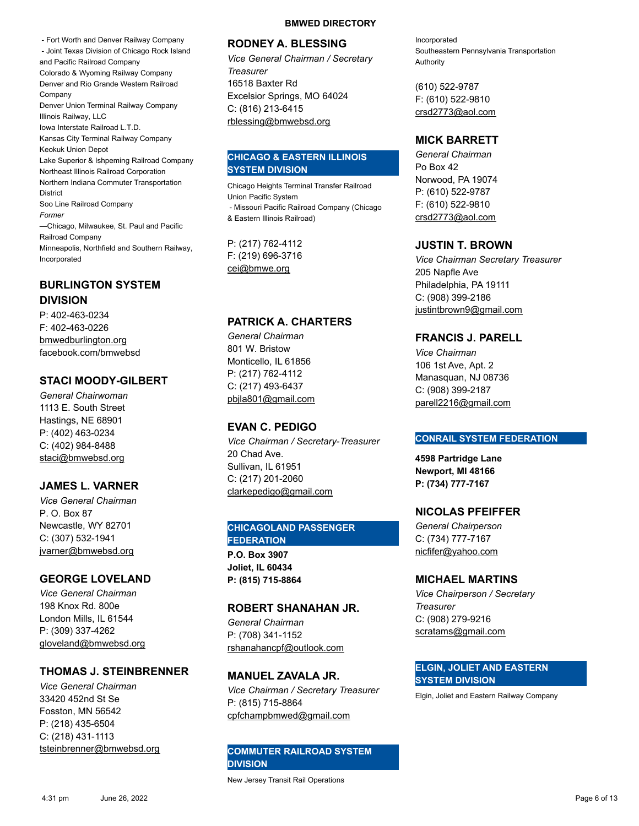- Fort Worth and Denver Railway Company - Joint Texas Division of Chicago Rock Island and Pacific Railroad Company Colorado & Wyoming Railway Company Denver and Rio Grande Western Railroad Company Denver Union Terminal Railway Company Illinois Railway, LLC Iowa Interstate Railroad L.T.D. Kansas City Terminal Railway Company Keokuk Union Depot Lake Superior & Ishpeming Railroad Company Northeast Illinois Railroad Corporation Northern Indiana Commuter Transportation **District** Soo Line Railroad Company *Former* —Chicago, Milwaukee, St. Paul and Pacific Railroad Company Minneapolis, Northfield and Southern Railway, Incorporated

## **BURLINGTON SYSTEM DIVISION**

P: 402-463-0234 F: 402-463-0226 bmwedburlington.org facebook.com/bmwebsd

## **STACI MOODY-GILBERT**

*General Chairwoman* 1113 E. South Street Hastings, NE 68901 P: (402) 463-0234 C: (402) 984-8488 staci@bmwebsd.org

## **JAMES L. VARNER**

*Vice General Chairman* P. O. Box 87 Newcastle, WY 82701 C: (307) 532-1941 jvarner@bmwebsd.org

## **GEORGE LOVELAND**

*Vice General Chairman* 198 Knox Rd. 800e London Mills, IL 61544 P: (309) 337-4262 gloveland@bmwebsd.org

## **THOMAS J. STEINBRENNER**

*Vice General Chairman* 33420 452nd St Se Fosston, MN 56542 P: (218) 435-6504 C: (218) 431-1113 tsteinbrenner@bmwebsd.org

#### **BMWED DIRECTORY**

#### **RODNEY A. BLESSING**

*Vice General Chairman / Secretary Treasurer* 16518 Baxter Rd Excelsior Springs, MO 64024 C: (816) 213-6415 rblessing@bmwebsd.org

## **CHICAGO & EASTERN ILLINOIS SYSTEM DIVISION**

Chicago Heights Terminal Transfer Railroad Union Pacific System - Missouri Pacific Railroad Company (Chicago & Eastern Illinois Railroad)

P: (217) 762-4112 F: (219) 696-3716 cei@bmwe.org

## **PATRICK A. CHARTERS**

*General Chairman* 801 W. Bristow Monticello, IL 61856 P: (217) 762-4112 C: (217) 493-6437 pbjla801@gmail.com

## **EVAN C. PEDIGO**

*Vice Chairman / Secretary-Treasurer* 20 Chad Ave. Sullivan, IL 61951 C: (217) 201-2060 clarkepedigo@gmail.com

## **CHICAGOLAND PASSENGER FEDERATION**

**P.O. Box 3907 Joliet, IL 60434 P: (815) 715-8864**

## **ROBERT SHANAHAN JR.**

*General Chairman* P: (708) 341-1152 rshanahancpf@outlook.com

## **MANUEL ZAVALA JR.**

*Vice Chairman / Secretary Treasurer* P: (815) 715-8864 cpfchampbmwed@gmail.com

## **COMMUTER RAILROAD SYSTEM DIVISION**

New Jersey Transit Rail Operations

Incorporated Southeastern Pennsylvania Transportation Authority

(610) 522-9787 F: (610) 522-9810 crsd2773@aol.com

## **MICK BARRETT**

*General Chairman* Po Box 42 Norwood, PA 19074 P: (610) 522-9787 F: (610) 522-9810 crsd2773@aol.com

## **JUSTIN T. BROWN**

*Vice Chairman Secretary Treasurer* 205 Napfle Ave Philadelphia, PA 19111 C: (908) 399-2186 justintbrown9@gmail.com

## **FRANCIS J. PARELL**

*Vice Chairman* 106 1st Ave, Apt. 2 Manasquan, NJ 08736 C: (908) 399-2187 parell2216@gmail.com

#### **CONRAIL SYSTEM FEDERATION**

**4598 Partridge Lane Newport, MI 48166 P: (734) 777-7167**

## **NICOLAS PFEIFFER**

*General Chairperson* C: (734) 777-7167 nicfifer@yahoo.com

## **MICHAEL MARTINS**

*Vice Chairperson / Secretary Treasurer* C: (908) 279-9216 scratams@gmail.com

#### **ELGIN, JOLIET AND EASTERN SYSTEM DIVISION**

Elgin, Joliet and Eastern Railway Company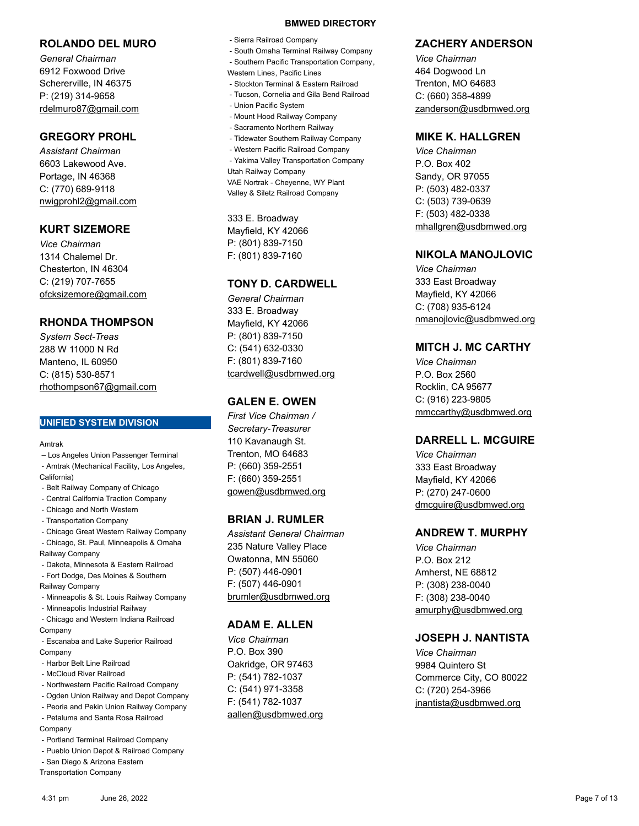#### **ROLANDO DEL MURO**

*General Chairman* 6912 Foxwood Drive Schererville, IN 46375 P: (219) 314-9658 rdelmuro87@gmail.com

## **GREGORY PROHL**

*Assistant Chairman* 6603 Lakewood Ave. Portage, IN 46368 C: (770) 689- 9118 nwigprohl2@gmail.com

## **KURT SIZEMORE**

*Vice Chairman* 1314 Chalemel Dr. Chesterton, IN 46304 C: (219) 707-7655 ofcksizemore@gmail.com

## **RHONDA THOMPSON**

*System Sect-Treas* 288 W 11000 N Rd Manteno, IL 60950 C: (815) 530-8571 rhothompson67@gmail.com

#### **UNIFIED SYSTEM DIVISION**

Amtrak

 – Los Angeles Union Passenger Terminal - Amtrak (Mechanical Facility, Los Angeles, California)

- Belt Railway Company of Chicago
- Central California Traction Company
- Chicago and North Western
- Transportation Company

 - Chicago Great Western Railway Company - Chicago, St. Paul, Minneapolis & Omaha

Railway Company

- Dakota, Minnesota & Eastern Railroad
- Fort Dodge, Des Moines & Southern Railway Company
- Minneapolis & St. Louis Railway Company
- Minneapolis Industrial Railway

 - Chicago and Western Indiana Railroad Company

- Escanaba and Lake Superior Railroad Company
- Harbor Belt Line Railroad
- McCloud River Railroad
- Northwestern Pacific Railroad Company
- Ogden Union Railway and Depot Company
- Peoria and Pekin Union Railway Company
- Petaluma and Santa Rosa Railroad
- Company
- Portland Terminal Railroad Company
- Pueblo Union Depot & Railroad Company
- San Diego & Arizona Eastern

Transportation Company

#### **BMWED DIRECTORY**

- Sierra Railroad Company
- South Omaha Terminal Railway Company
- Southern Pacific Transportation Company,
- Western Lines, Pacific Lines
- Stockton Terminal & Eastern Railroad
- Tucson, Cornelia and Gila Bend Railroad
- Union Pacific System
- Mount Hood Railway Company
- Sacramento Northern Railway
- Tidewater Southern Railway Company
- Western Pacific Railroad Company

 - Yakima Valley Transportation Company Utah Railway Company VAE Nortrak - Cheyenne, WY Plant Valley & Siletz Railroad Company

333 E. Broadway Mayfield, KY 42066 P: (801) 839-7150 F: (801) 839-7160

## **TONY D. CARDWELL**

*General Chairman* 333 E. Broadway Mayfield, KY 42066 P: (801) 839-7150 C: (541) 632-0330 F: (801) 839-7160 tcardwell@usdbmwed.org

## **GALEN E. OWEN**

*First Vice Chairman / Secretary-Treasurer* 110 Kavanaugh St. Trenton, MO 64683 P: (660) 359-2551 F: (660) 359-2551 gowen@usdbmwed.org

## **BRIAN J. RUMLER**

*Assistant General Chairman* 235 Nature Valley Place Owatonna, MN 55060 P: (507) 446-0901 F: (507) 446-0901 brumler@usdbmwed.org

## **ADAM E. ALLEN**

*Vice Chairman* P.O. Box 390 Oakridge, OR 97463 P: (541) 782-1037 C: (541) 971-3358 F: (541) 782-1037 aallen@usdbmwed.org

## **ZACHERY ANDERSON**

*Vice Chairman* 464 Dogwood Ln Trenton, MO 64683 C: (660) 358-4899 zanderson@usdbmwed.org

## **MIKE K. HALLGREN**

*Vice Chairman* P.O. Box 402 Sandy, OR 97055 P: (503) 482-0337 C: (503) 739-0639 F: (503) 482-0338 mhallgren@usdbmwed.org

## **NIKOLA MANOJLOVIC**

*Vice Chairman* 333 East Broadway Mayfield, KY 42066 C: (708) 935-6124 nmanojlovic@usdbmwed.org

## **MITCH J. MC CARTHY**

*Vice Chairman* P.O. Box 2560 Rocklin, CA 95677 C: (916) 223-9805 mmccarthy@usdbmwed.org

## **DARRELL L. MCGUIRE**

*Vice Chairman* 333 East Broadway Mayfield, KY 42066 P: (270) 247-0600 dmcguire@usdbmwed.org

## **ANDREW T. MURPHY**

*Vice Chairman* P.O. Box 212 Amherst, NE 68812 P: (308) 238-0040 F: (308) 238-0040 amurphy@usdbmwed.org

## **JOSEPH J. NANTISTA**

*Vice Chairman* 9984 Quintero St Commerce City, CO 80022 C: (720) 254-3966 jnantista@usdbmwed.org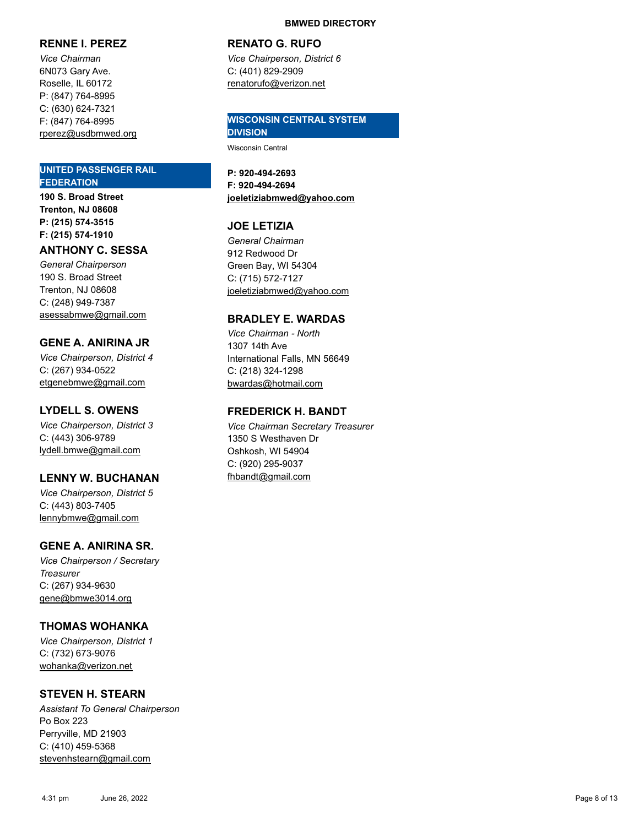## **RENNE I. PEREZ**

*Vice Chairman* 6N073 Gary Ave. Roselle, IL 60172 P: (847) 764-8995 C: (630) 624-7321 F: (847) 764-8995 rperez@usdbmwed.org

#### **UNITED PASSENGER RAIL FEDERATION**

**190 S. Broad Street Trenton, NJ 08608 P: (215) 574-3515 F: (215) 574-1910**

#### **ANTHONY C. SESSA**

*General Chairperson* 190 S. Broad Street Trenton, NJ 08608 C: (248) 949-7387 asessabmwe@gmail.com

## **GENE A. ANIRINA JR**

*Vice Chairperson, District 4* C: (267) 934-0522 etgenebmwe@gmail.com

## **LYDELL S. OWENS**

*Vice Chairperson, District 3* C: (443) 306-9789 lydell.bmwe@gmail.com

## **LENNY W. BUCHANAN**

*Vice Chairperson, District 5* C: (443) 803-7405 lennybmwe@gmail.com

## **GENE A. ANIRINA SR .**

*Vice Chairperson / Secretary Treasurer* C: (267) 934-9630 gene@bmwe3014.org

## **THOMAS WOHANKA**

*Vice Chairperson, District 1* C: (732) 673-9076 wohanka@verizon.net

## **STEVEN H. STEARN**

*Assistant To General Chairperson* Po Box 223 Perryville, MD 21903 C: (410) 459-5368 stevenhstearn@gmail.com

#### **RENATO G. RUFO**

*Vice Chairperson, District 6* C: (401) 829-2909 renatorufo@verizon.net

#### **WISCONSIN CENTRAL SYSTEM DIVISION**

Wisconsin Central

**P: 920-494-2693 F: 920-494-2694 joeletiziabmwed@yahoo.com**

## **JOE LETIZIA**

*General Chairman* 912 Redwood Dr Green Bay, WI 54304 C: (715) 572-7127 joeletiziabmwed@yahoo.com

## **BRADLEY E. WARDAS**

*Vice Chairman - North* 1307 14th Ave International Falls, MN 56649 C: (218) 324-1298 bwardas@hotmail.com

## **FREDERICK H. BANDT**

*Vice Chairman Secretary Treasurer* 1350 S Westhaven Dr Oshkosh, WI 54904 C: (920) 295-9037 fhbandt@gmail.com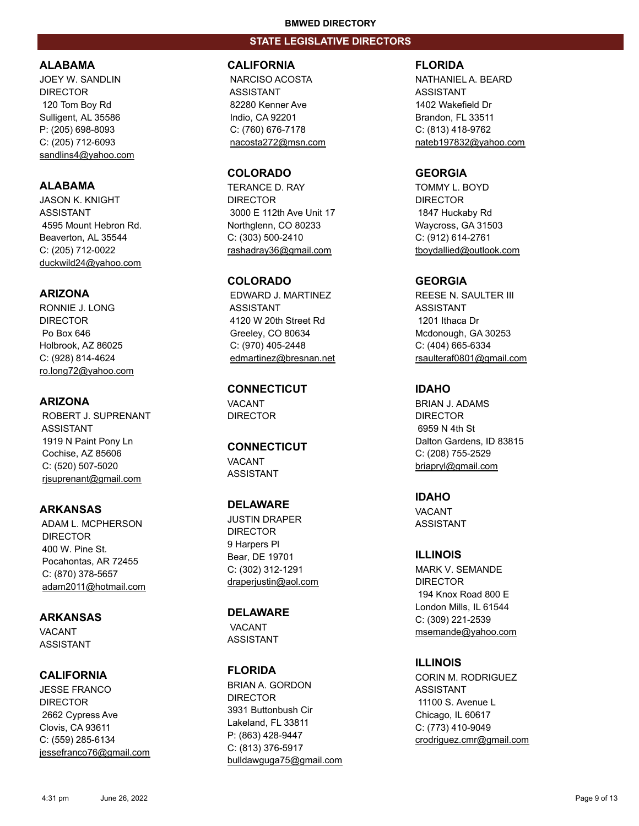## **STATE LEGISLATIVE DIRECTORS**

## **ALABAMA**

JOEY W. SANDLIN DIRECTOR 120 Tom Boy Rd Sulligent, AL 35586 P: (205) 698-8093 C: (205) 712-6093 sandlins4@yahoo.com

## **ALABAMA**

JASON K. KNIGHT ASSISTANT 4595 Mount Hebron Rd. Beaverton, AL 35544 C: (205) 712-0022 duckwild24@yahoo.com

## **ARIZONA**

RONNIE J. LONG **DIRECTOR**  Po Box 646 Holbrook, AZ 86025 C: (928) 814-4624 ro.long72@yahoo.com

## **ARIZONA**

 ROBERT J. SUPRENANT ASSISTANT 1919 N Paint Pony Ln Cochise, AZ 85606 C: (520) 507-5020 rjsuprenant@gmail.com

## **ARKANSAS**

 ADAM L. MCPHERSON DIRECTOR 400 W. Pine St. Pocahontas, AR 72455 C: (870) 378-5657 adam2011@hotmail.com

**ARKANSAS VACANT** ASSISTANT

## **CALIFORNIA**

JESSE FRANCO DIRECTOR 2662 Cypress Ave Clovis, CA 93611 C: (559) 285-6134 jessefranco76@gmail.com

#### **CALIFORNIA**

 NARCISO ACOSTA ASSISTANT 82280 Kenner Ave Indio, CA 92201 C: (760) 676-7178 nacosta272@msn.com

#### **COLORADO**

TERANCE D. RAY DIRECTOR 3000 E 112th Ave Unit 17 Northglenn, CO 80233 C: (303) 500-2410 rashadray36@gmail.com

## **COLORADO**

 EDWARD J. MARTINEZ ASSISTANT 4120 W 20th Street Rd Greeley, CO 80634 C: (970) 405-2448 edmartinez@bresnan.net

**CONNECTICUT** VACANT DIRECTOR

**CONNECTICUT VACANT** ASSISTANT

## **DELAWARE**

JUSTIN DRAPER DIRECTOR 9 Harpers Pl Bear, DE 19701 C: (302) 312-1291 draperjustin@aol.com

**DELAWARE** VACANT ASSISTANT

# **FLORIDA**

BRIAN A. GORDON DIRECTOR 3931 Buttonbush Cir Lakeland, FL 33811 P: (863) 428-9447 C: (813) 376-5917 bulldawguga75@gmail.com

#### **FLORIDA**

NATHANIEL A. BEARD ASSISTANT 1402 Wakefield Dr Brandon, FL 33511 C: (813) 418-9762 nateb197832@yahoo.com

## **GEORGIA**

TOMMY L. BOYD DIRECTOR 1847 Huckaby Rd Waycross, GA 31503 C: (912) 614-2761 tboydallied@outlook.com

## **GEORGIA**

REESE N. SAULTER III ASSISTANT 1201 Ithaca Dr Mcdonough, GA 30253 C: (404) 665-6334 rsaulteraf0801@gmail.com

## **IDAHO**

BRIAN J. ADAMS DIRECTOR 6959 N 4th St Dalton Gardens, ID 83815 C: (208) 755-2529 briapryl@gmail.com

## **IDAHO**

VACANT ASSISTANT

**ILLINOIS** MARK V. SEMANDE DIRECTOR 194 Knox Road 800 E London Mills, IL 61544 C: (309) 221-2539 msemande@yahoo.com

**ILLINOIS** CORIN M. RODRIGUEZ ASSISTANT 11100 S. Avenue L Chicago, IL 60617 C: (773) 410-9049 crodriguez.cmr@gmail.com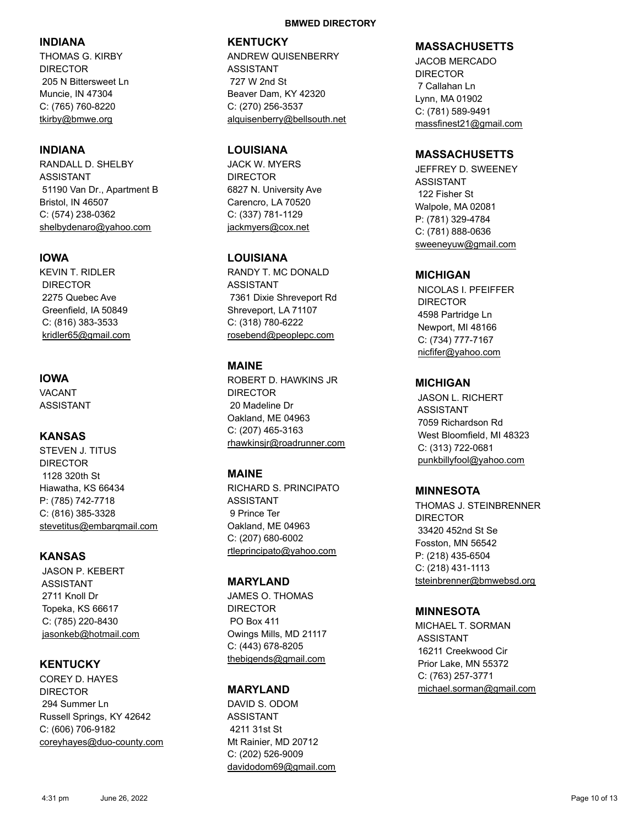## **INDIANA**

THOMAS G. KIRBY DIRECTOR 205 N Bittersweet Ln Muncie, IN 47304 C: (765) 760-8220 tkirby@bmwe.org

## **INDIANA**

RANDALL D. SHELBY ASSISTANT 51190 Van Dr., Apartment B Bristol, IN 46507 C: (574) 238-0362 shelbydenaro@yahoo.com

## **IOWA**

KEVIN T. RIDLER DIRECTOR 2275 Quebec Ave Greenfield, IA 50849 C: (816) 383-3533 kridler65@gmail.com

## **IOWA**

VACANT ASSISTANT

## **KANSAS**

STEVEN J. TITUS DIRECTOR 1128 320th St Hiawatha, KS 66434 P: (785) 742-7718 C: (816) 385-3328 stevetitus@embarqmail.com

## **KANSAS**

 JASON P. KEBERT ASSISTANT 2711 Knoll Dr Topeka, KS 66617 C: (785) 220-8430 jasonkeb@hotmail.com

## **KENTUCKY**

COREY D. HAYES DIRECTOR 294 Summer Ln Russell Springs, KY 42642 C: (606) 706-9182 coreyhayes@duo-county.com

#### **BMWED DIRECTORY**

## **KENTUCKY**

ANDREW QUISENBERRY ASSISTANT 727 W 2nd St Beaver Dam, KY 42320 C: (270) 256-3537 alquisenberry@bellsouth.net

## **LOUISIANA**

JACK W. MYERS DIRECTOR 6827 N. University Ave Carencro, LA 70520 C: (337) 781-1129 jackmyers@cox.net

## **LOUISIANA**

RANDY T. MC DONALD ASSISTANT 7361 Dixie Shreveport Rd Shreveport, LA 71107 C: (318) 780-6222 rosebend@peoplepc.com

## **MAINE**

ROBERT D. HAWKINS JR DIRECTOR 20 Madeline Dr Oakland, ME 04963 C: (207) 465-3163 rhawkinsjr@roadrunner.com

## **MAINE**

RICHARD S. PRINCIPATO ASSISTANT 9 Prince Ter Oakland, ME 04963 C: (207) 680-6002 rtleprincipato@yahoo.com

## **MARYLAND**

JAMES O. THOMAS DIRECTOR PO Box 411 Owings Mills, MD 21117 C: (443) 678-8205 thebigends@gmail.com

## **MARYLAND**

DAVID S. ODOM ASSISTANT 4211 31st St Mt Rainier, MD 20712 C: (202) 526-9009 davidodom69@gmail.com

#### **MASSACHUSETTS**

JACOB MERCADO DIRECTOR 7 Callahan Ln Lynn, MA 01902 C: (781) 589-9491 massfinest21@gmail.com

## **MASSACHUSETTS**

JEFFREY D. SWEENEY ASSISTANT 122 Fisher St Walpole, MA 02081 P: (781) 329-4784 C: (781) 888-0636 sweeneyuw@gmail.com

## **MICHIGAN**

 NICOLAS I. PFEIFFER DIRECTOR 4598 Partridge Ln Newport, MI 48166 C: (734) 777-7167 nicfifer@yahoo.com

## **MICHIGAN**

 JASON L. RICHERT ASSISTANT 7059 Richardson Rd West Bloomfield, MI 48323 C: (313) 722-0681 punkbillyfool@yahoo.com

## **MINNESOTA**

THOMAS J. STEINBRENNER DIRECTOR 33420 452nd St Se Fosston, MN 56542 P: (218) 435-6504 C: (218) 431-1113 tsteinbrenner@bmwebsd.org

## **MINNESOTA**

MICHAEL T. SORMAN ASSISTANT 16211 Creekwood Cir Prior Lake, MN 55372 C: (763) 257-3771 michael.sorman@gmail.com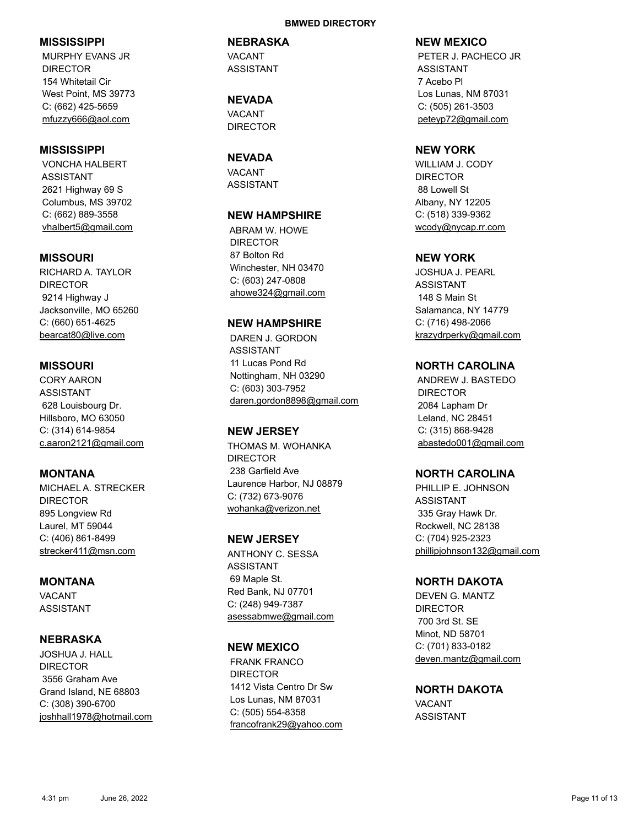## **MISSISSIPPI**

 MURPHY EVANS JR DIRECTOR 154 Whitetail Cir West Point, MS 39773 C: (662) 425-5659 mfuzzy666@aol.com

## **MISSISSIPPI**

 VONCHA HALBERT ASSISTANT 2621 Highway 69 S Columbus, MS 39702 C: (662) 889-3558 vhalbert5@gmail.com

## **MISSOURI**

RICHARD A. TAYLOR DIRECTOR 9214 Highway J Jacksonville, MO 65260 C: (660) 651-4625 bearcat80@live.com

## **MISSOURI**

CORY AARON ASSISTANT 628 Louisbourg Dr. Hillsboro, MO 63050 C: (314) 614-9854 c.aaron2121@gmail.com

## **MONTANA**

MICHAEL A. STRECKER DIRECTOR 895 Longview Rd Laurel, MT 59044 C: (406) 861-8499 strecker411@msn.com

## **MONTANA**

VACANT ASSISTANT

## **NEBRASKA**

JOSHUA J. HALL DIRECTOR 3556 Graham Ave Grand Island, NE 68803 C: (308) 390-6700 joshhall1978@hotmail.com

#### **BMWED DIRECTORY**

#### **NEBRASKA**

VACANT ASSISTANT

**NEVADA** VACANT DIRECTOR

#### **NEVADA**

VACANT ASSISTANT

#### **NEW HAMPSHIRE**

 ABRAM W. HOWE DIRECTOR 87 Bolton Rd Winchester, NH 03470 C: (603) 247-0808 ahowe324@gmail.com

## **NEW HAMPSHIRE**

 DAREN J. GORDON ASSISTANT 11 Lucas Pond Rd Nottingham, NH 03290 C: (603) 303-7952 daren.gordon8898@gmail.com

## **NEW JERSEY**

THOMAS M. WOHANKA DIRECTOR 238 Garfield Ave Laurence Harbor, NJ 08879 C: (732) 673-9076 wohanka@verizon.net

## **NEW JERSEY**

ANTHONY C. SESSA ASSISTANT 69 Maple St. Red Bank, NJ 07701 C: (248) 949-7387 asessabmwe@gmail.com

#### **NEW MEXICO**

 FRANK FRANCO DIRECTOR 1412 Vista Centro Dr Sw Los Lunas, NM 87031 C: (505) 554-8358 francofrank29@yahoo.com

#### **NEW MEXICO**

 PETER J. PACHECO JR ASSISTANT 7 Acebo Pl Los Lunas, NM 87031 C: (505) 261-3503 peteyp72@gmail.com

## **NEW YORK**

WILLIAM J. CODY DIRECTOR 88 Lowell St Albany, NY 12205 C: (518) 339-9362 wcody@nycap.rr.com

## **NEW YORK**

JOSHUA J. PEARL ASSISTANT 148 S Main St Salamanca, NY 14779 C: (716) 498-2066 krazydrperky@gmail.com

## **NORTH CAROLINA**

 ANDREW J. BASTEDO DIRECTOR 2084 Lapham Dr Leland, NC 28451 C: (315) 868-9428 abastedo001@gmail.com

#### **NORTH CAROLINA**

PHILLIP E. JOHNSON ASSISTANT 335 Gray Hawk Dr. Rockwell, NC 28138 C: (704) 925-2323 phillipjohnson132@gmail.com

## **NORTH DAKOTA**

DEVEN G. MANTZ DIRECTOR 700 3rd St. SE Minot, ND 58701 C: (701) 833-0182 deven.mantz@gmail.com

**NORTH DAKOTA** VACANT ASSISTANT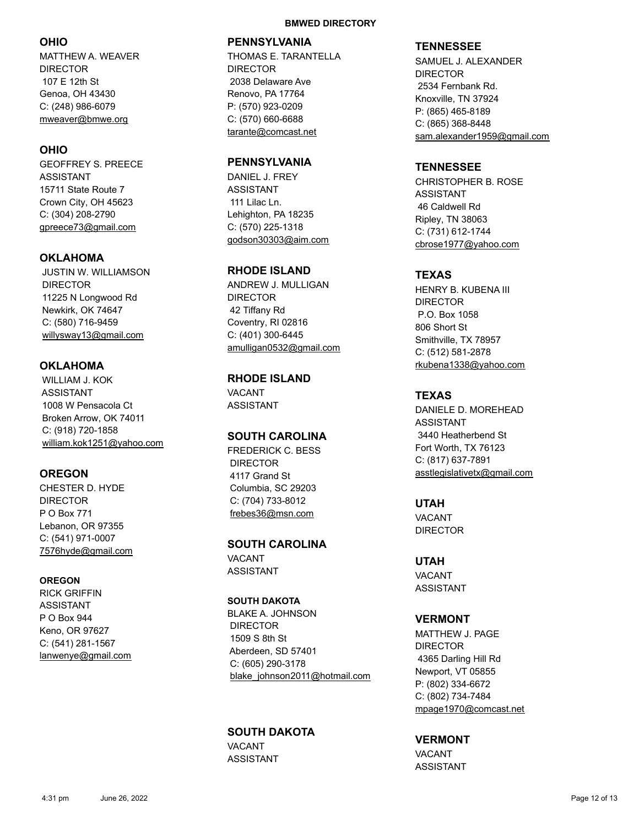## **OHIO**

MATTHEW A. WEAVER DIRECTOR 107 E 12th St Genoa, OH 43430 C: (248) 986-6079 mweaver@bmwe.org

## **OHIO**

GEOFFREY S. PREECE ASSISTANT 15711 State Route 7 Crown City, OH 45623 C: (304) 208-2790 gpreece73@gmail.com

## **OKLAHOMA**

 JUSTIN W. WILLIAMSON DIRECTOR 11225 N Longwood Rd Newkirk, OK 74647 C: (580) 716-9459 willysway13@gmail.com

## **OKLAHOMA**

 WILLIAM J. KOK ASSISTANT 1008 W Pensacola Ct Broken Arrow, OK 74011 C: (918) 720-1858 william.kok1251@yahoo.com

## **OREGON**

CHESTER D. HYDE DIRECTOR P O Box 771 Lebanon, OR 97355 C: (541) 971-0007 7576hyde@gmail.com

#### **OREGON**

RICK GRIFFIN ASSISTANT P O Box 944 Keno, OR 97627 C: (541) 281-1567 lanwenye@gmail.com

#### **BMWED DIRECTORY**

## **PENNSYLVANIA**

THOMAS E. TARANTELLA DIRECTOR 2038 Delaware Ave Renovo, PA 17764 P: (570) 923-0209 C: (570) 660-6688 tarante@comcast.net

## **PENNSYLVANIA**

DANIEL J. FREY ASSISTANT 111 Lilac Ln. Lehighton, PA 18235 C: (570) 225-1318 godson30303@aim.com

## **RHODE ISLAND**

ANDREW J. MULLIGAN DIRECTOR 42 Tiffany Rd Coventry, RI 02816 C: (401) 300-6445 amulligan0532@gmail.com

## **RHODE ISLAND** VACANT ASSISTANT

## **SOUTH CAROLINA** FREDERICK C. BESS DIRECTOR 4117 Grand St Columbia, SC 29203 C: (704) 733-8012

# **SOUTH CAROLINA**

frebes36@msn.com

VACANT ASSISTANT

## **SOUTH DAKOTA**

BLAKE A. JOHNSON DIRECTOR 1509 S 8th St Aberdeen, SD 57401 C: (605) 290-3178 blake\_johnson2011@hotmail.com

## **SOUTH DAKOTA**

VACANT ASSISTANT

#### **TENNESSEE**

SAMUEL J. ALEXANDER DIRECTOR 2534 Fernbank Rd. Knoxville, TN 37924 P: (865) 465-8189 C: (865) 368-8448 sam.alexander1959@gmail.com

## **TENNESSEE**

CHRISTOPHER B. ROSE ASSISTANT 46 Caldwell Rd Ripley, TN 38063 C: (731) 612-1744 cbrose1977@yahoo.com

## **TEXAS**

HENRY B. KUBENA III DIRECTOR P.O. Box 1058 806 Short St Smithville, TX 78957 C: (512) 581-2878 rkubena1338@yahoo.com

## **TEXAS**

DANIELE D. MOREHEAD ASSISTANT 3440 Heatherbend St Fort Worth, TX 76123 C: (817) 637-7891 asstlegislativetx@gmail.com

**UTAH** VACANT DIRECTOR

**UTAH** VACANT ASSISTANT

## **VERMONT**

MATTHEW J. PAGE DIRECTOR 4365 Darling Hill Rd Newport, VT 05855 P: (802) 334-6672 C: (802) 734-7484 mpage1970@comcast.net

## **VERMONT**

VACANT ASSISTANT